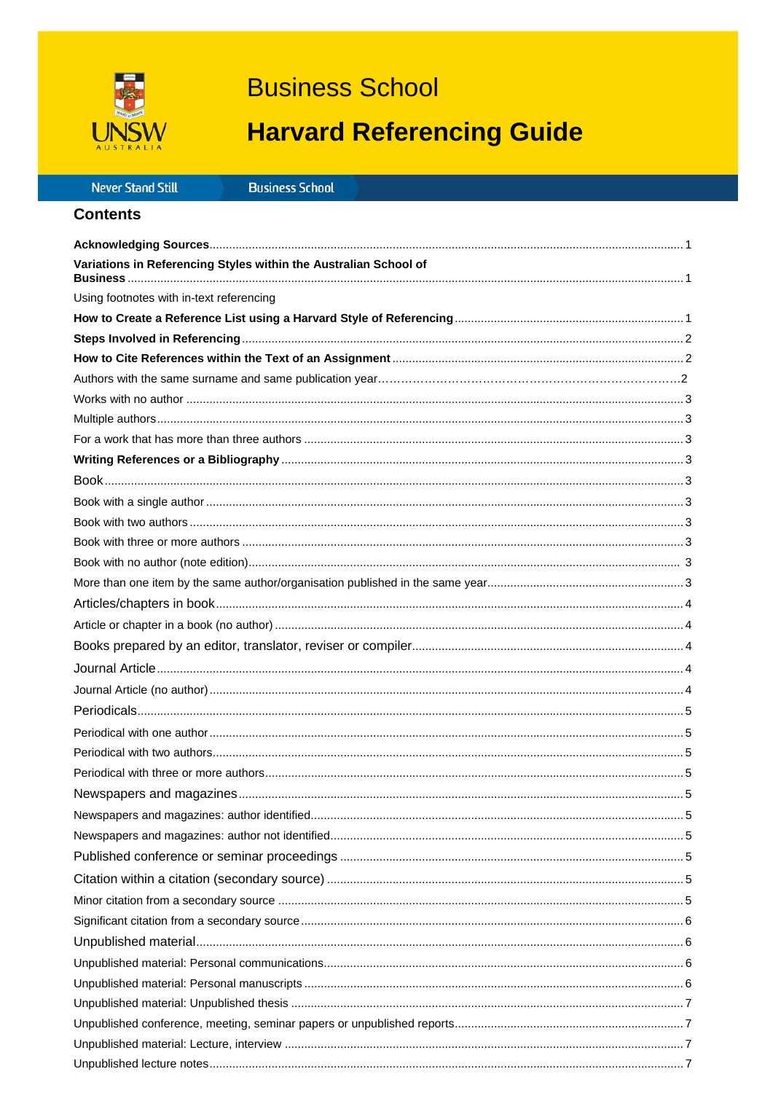

# **Business School**

# **Harvard Referencing Guide**

| Never Stand Still |  |  |  |
|-------------------|--|--|--|

**Business School** 

| Variations in Referencing Styles within the Australian School of |  |
|------------------------------------------------------------------|--|
| Using footnotes with in-text referencing                         |  |
|                                                                  |  |
|                                                                  |  |
|                                                                  |  |
|                                                                  |  |
|                                                                  |  |
|                                                                  |  |
|                                                                  |  |
|                                                                  |  |
|                                                                  |  |
|                                                                  |  |
|                                                                  |  |
|                                                                  |  |
|                                                                  |  |
|                                                                  |  |
|                                                                  |  |
|                                                                  |  |
|                                                                  |  |
|                                                                  |  |
|                                                                  |  |
|                                                                  |  |
|                                                                  |  |
|                                                                  |  |
|                                                                  |  |
|                                                                  |  |
|                                                                  |  |
|                                                                  |  |
|                                                                  |  |
|                                                                  |  |
|                                                                  |  |
|                                                                  |  |
|                                                                  |  |
|                                                                  |  |
|                                                                  |  |
|                                                                  |  |
|                                                                  |  |
|                                                                  |  |
|                                                                  |  |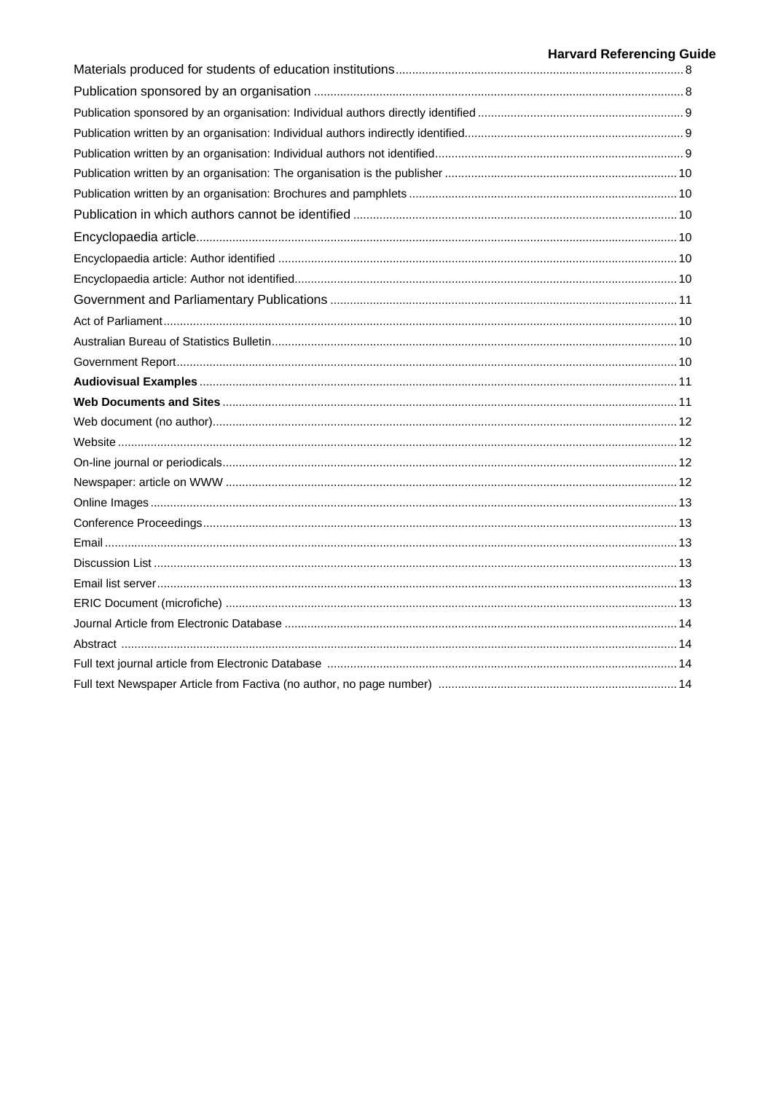# **Harvard Referencing Guide**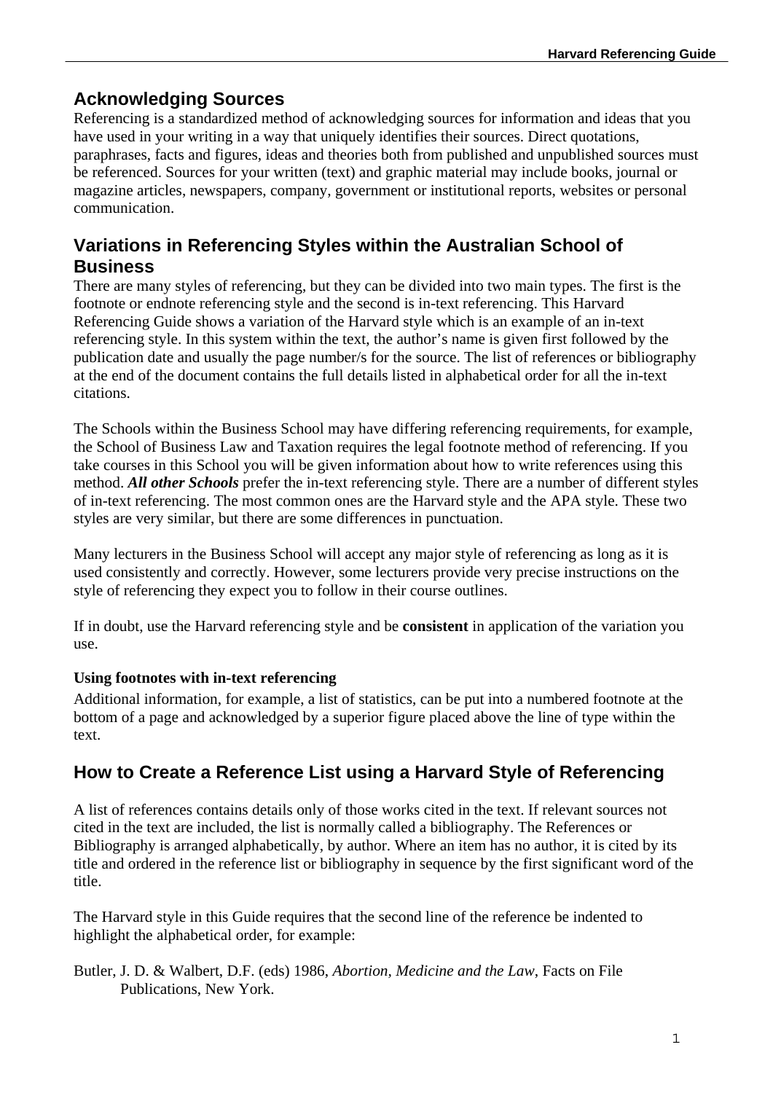# **Acknowledging Sources**

Referencing is a standardized method of acknowledging sources for information and ideas that you have used in your writing in a way that uniquely identifies their sources. Direct quotations, paraphrases, facts and figures, ideas and theories both from published and unpublished sources must be referenced. Sources for your written (text) and graphic material may include books, journal or magazine articles, newspapers, company, government or institutional reports, websites or personal communication.

# **Variations in Referencing Styles within the Australian School of Business**

There are many styles of referencing, but they can be divided into two main types. The first is the footnote or endnote referencing style and the second is in-text referencing. This Harvard Referencing Guide shows a variation of the Harvard style which is an example of an in-text referencing style. In this system within the text, the author's name is given first followed by the publication date and usually the page number/s for the source. The list of references or bibliography at the end of the document contains the full details listed in alphabetical order for all the in-text citations.

The Schools within the Business School may have differing referencing requirements, for example, the School of Business Law and Taxation requires the legal footnote method of referencing. If you take courses in this School you will be given information about how to write references using this method. *All other Schools* prefer the in-text referencing style. There are a number of different styles of in-text referencing. The most common ones are the Harvard style and the APA style. These two styles are very similar, but there are some differences in punctuation.

Many lecturers in the Business School will accept any major style of referencing as long as it is used consistently and correctly. However, some lecturers provide very precise instructions on the style of referencing they expect you to follow in their course outlines.

If in doubt, use the Harvard referencing style and be **consistent** in application of the variation you use.

# **Using footnotes with in-text referencing**

Additional information, for example, a list of statistics, can be put into a numbered footnote at the bottom of a page and acknowledged by a superior figure placed above the line of type within the text.

# **How to Create a Reference List using a Harvard Style of Referencing**

A list of references contains details only of those works cited in the text. If relevant sources not cited in the text are included, the list is normally called a bibliography. The References or Bibliography is arranged alphabetically, by author. Where an item has no author, it is cited by its title and ordered in the reference list or bibliography in sequence by the first significant word of the title.

The Harvard style in this Guide requires that the second line of the reference be indented to highlight the alphabetical order, for example:

Butler, J. D. & Walbert, D.F. (eds) 1986, *Abortion, Medicine and the Law*, Facts on File Publications, New York.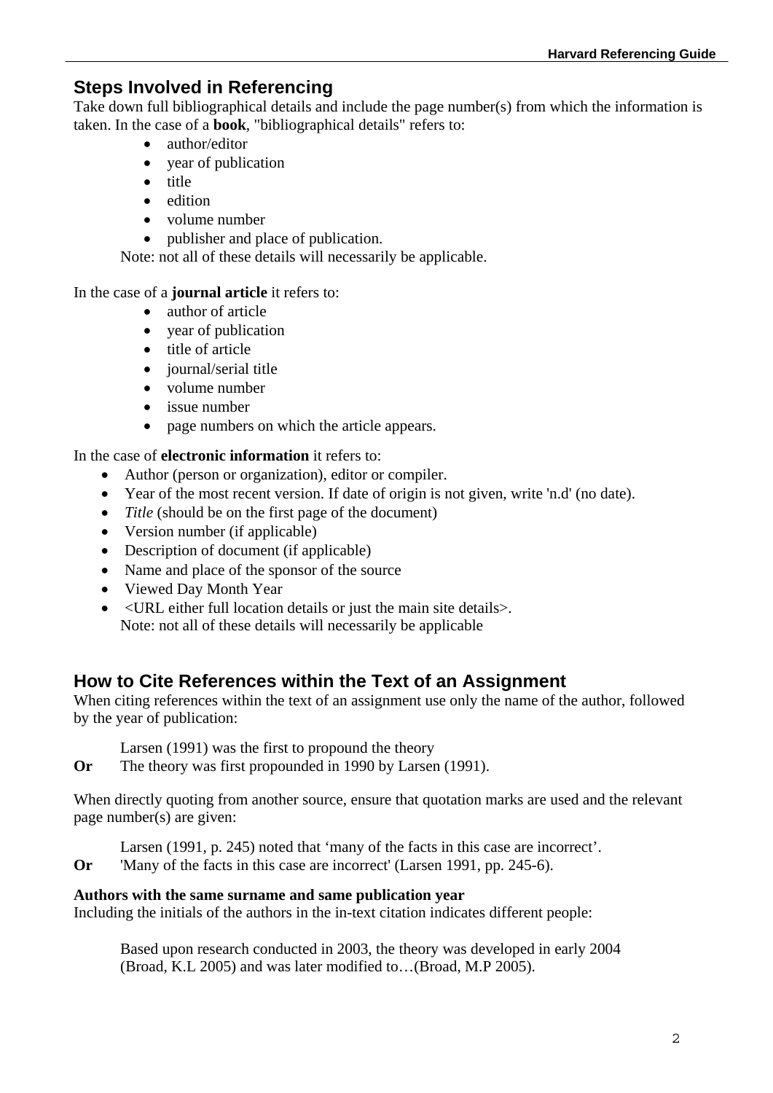# **Steps Involved in Referencing**

Take down full bibliographical details and include the page number(s) from which the information is taken. In the case of a **book**, "bibliographical details" refers to:

- author/editor
- year of publication
- $\bullet$  title
- edition
- volume number
- publisher and place of publication.

Note: not all of these details will necessarily be applicable.

In the case of a **journal article** it refers to:

- author of article
- year of publication
- $\bullet$  title of article
- iournal/serial title
- volume number
- issue number
- page numbers on which the article appears.

In the case of **electronic information** it refers to:

- Author (person or organization), editor or compiler.
- Year of the most recent version. If date of origin is not given, write 'n.d' (no date).
- *Title* (should be on the first page of the document)
- Version number (if applicable)
- Description of document (if applicable)
- Name and place of the sponsor of the source
- Viewed Day Month Year
- <URL either full location details or just the main site details>. Note: not all of these details will necessarily be applicable

# **How to Cite References within the Text of an Assignment**

When citing references within the text of an assignment use only the name of the author, followed by the year of publication:

Larsen (1991) was the first to propound the theory

**Or** The theory was first propounded in 1990 by Larsen (1991).

When directly quoting from another source, ensure that quotation marks are used and the relevant page number(s) are given:

Larsen (1991, p. 245) noted that 'many of the facts in this case are incorrect'.

**Or** 'Many of the facts in this case are incorrect' (Larsen 1991, pp. 245-6).

### **Authors with the same surname and same publication year**

Including the initials of the authors in the in-text citation indicates different people:

Based upon research conducted in 2003, the theory was developed in early 2004 (Broad, K.L 2005) and was later modified to…(Broad, M.P 2005).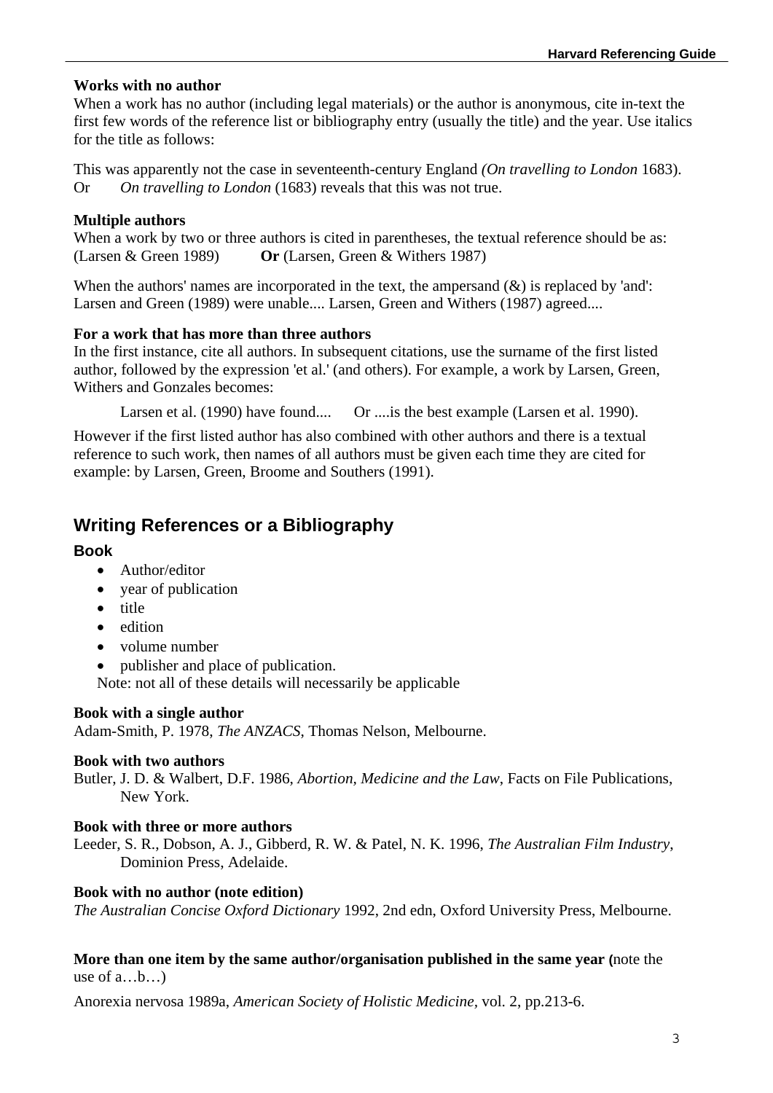#### **Works with no author**

When a work has no author (including legal materials) or the author is anonymous, cite in-text the first few words of the reference list or bibliography entry (usually the title) and the year. Use italics for the title as follows:

This was apparently not the case in seventeenth-century England *(On travelling to London* 1683). Or *On travelling to London* (1683) reveals that this was not true.

## **Multiple authors**

When a work by two or three authors is cited in parentheses, the textual reference should be as: (Larsen & Green 1989) **Or** (Larsen, Green & Withers 1987)

When the authors' names are incorporated in the text, the ampersand  $(\&)$  is replaced by 'and': Larsen and Green (1989) were unable.... Larsen, Green and Withers (1987) agreed....

### **For a work that has more than three authors**

In the first instance, cite all authors. In subsequent citations, use the surname of the first listed author, followed by the expression 'et al.' (and others). For example, a work by Larsen, Green, Withers and Gonzales becomes:

Larsen et al. (1990) have found.... Or .... is the best example (Larsen et al. 1990).

However if the first listed author has also combined with other authors and there is a textual reference to such work, then names of all authors must be given each time they are cited for example: by Larsen, Green, Broome and Southers (1991).

# **Writing References or a Bibliography**

#### **Book**

- Author/editor
- year of publication
- title
- edition
- volume number
- publisher and place of publication.

Note: not all of these details will necessarily be applicable

#### **Book with a single author**

Adam-Smith, P. 1978, *The ANZACS*, Thomas Nelson, Melbourne.

### **Book with two authors**

Butler, J. D. & Walbert, D.F. 1986, *Abortion, Medicine and the Law*, Facts on File Publications, New York.

### **Book with three or more authors**

Leeder, S. R., Dobson, A. J., Gibberd, R. W. & Patel, N. K. 1996, *The Australian Film Industry*, Dominion Press, Adelaide.

### **Book with no author (note edition)**

*The Australian Concise Oxford Dictionary* 1992, 2nd edn, Oxford University Press, Melbourne.

#### **More than one item by the same author/organisation published in the same year (**note the use of  $a...b...$

Anorexia nervosa 1989a, *American Society of Holistic Medicine,* vol. 2, pp.213-6.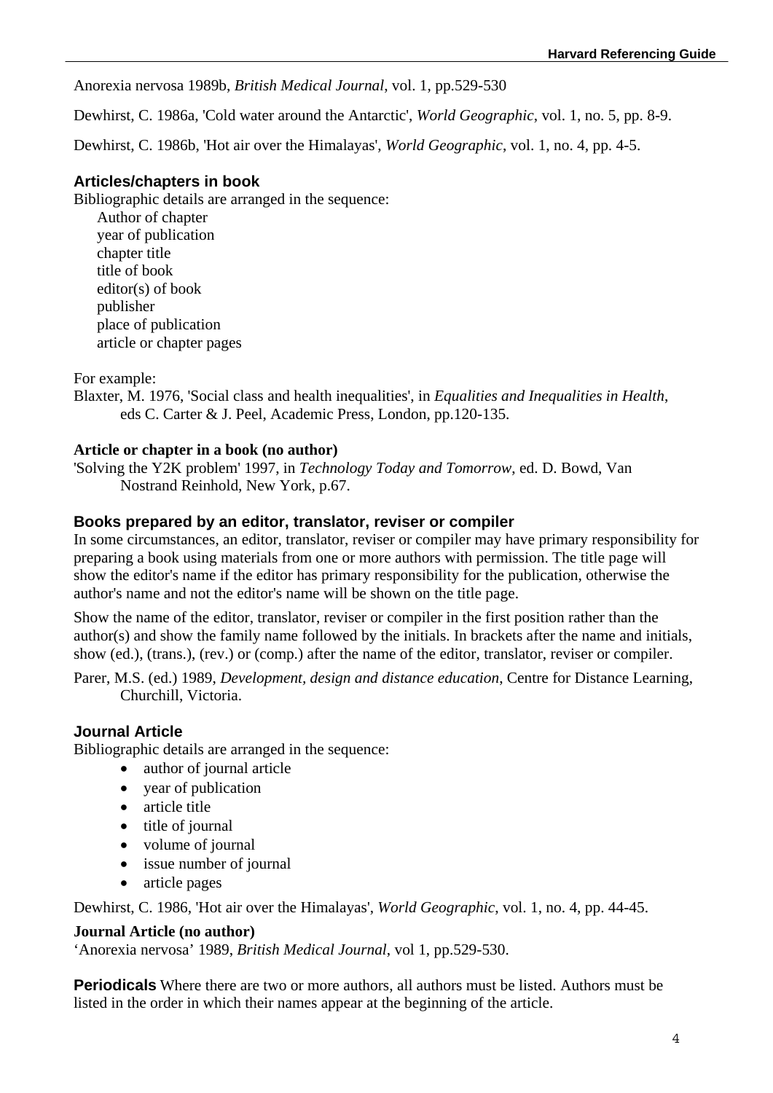Anorexia nervosa 1989b, *British Medical Journal*, vol. 1, pp.529-530

Dewhirst, C. 1986a, 'Cold water around the Antarctic', *World Geographic*, vol. 1, no. 5, pp. 8-9.

Dewhirst, C. 1986b, 'Hot air over the Himalayas', *World Geographic*, vol. 1, no. 4, pp. 4-5.

#### **Articles/chapters in book**

Bibliographic details are arranged in the sequence: Author of chapter year of publication chapter title title of book editor(s) of book publisher place of publication article or chapter pages

For example:

Blaxter, M. 1976, 'Social class and health inequalities', in *Equalities and Inequalities in Health*, eds C. Carter & J. Peel, Academic Press, London, pp.120-135.

#### **Article or chapter in a book (no author)**

'Solving the Y2K problem' 1997, in *Technology Today and Tomorrow*, ed. D. Bowd, Van Nostrand Reinhold, New York, p.67.

### **Books prepared by an editor, translator, reviser or compiler**

In some circumstances, an editor, translator, reviser or compiler may have primary responsibility for preparing a book using materials from one or more authors with permission. The title page will show the editor's name if the editor has primary responsibility for the publication, otherwise the author's name and not the editor's name will be shown on the title page.

Show the name of the editor, translator, reviser or compiler in the first position rather than the author(s) and show the family name followed by the initials. In brackets after the name and initials, show (ed.), (trans.), (rev.) or (comp.) after the name of the editor, translator, reviser or compiler.

Parer, M.S. (ed.) 1989, *Development, design and distance education*, Centre for Distance Learning, Churchill, Victoria.

### **Journal Article**

Bibliographic details are arranged in the sequence:

- author of journal article
- year of publication
- article title
- title of journal
- volume of journal
- issue number of journal
- article pages

Dewhirst, C. 1986, 'Hot air over the Himalayas', *World Geographic*, vol. 1, no. 4, pp. 44-45.

#### **Journal Article (no author)**

'Anorexia nervosa' 1989, *British Medical Journal*, vol 1, pp.529-530.

**Periodicals** Where there are two or more authors, all authors must be listed. Authors must be listed in the order in which their names appear at the beginning of the article.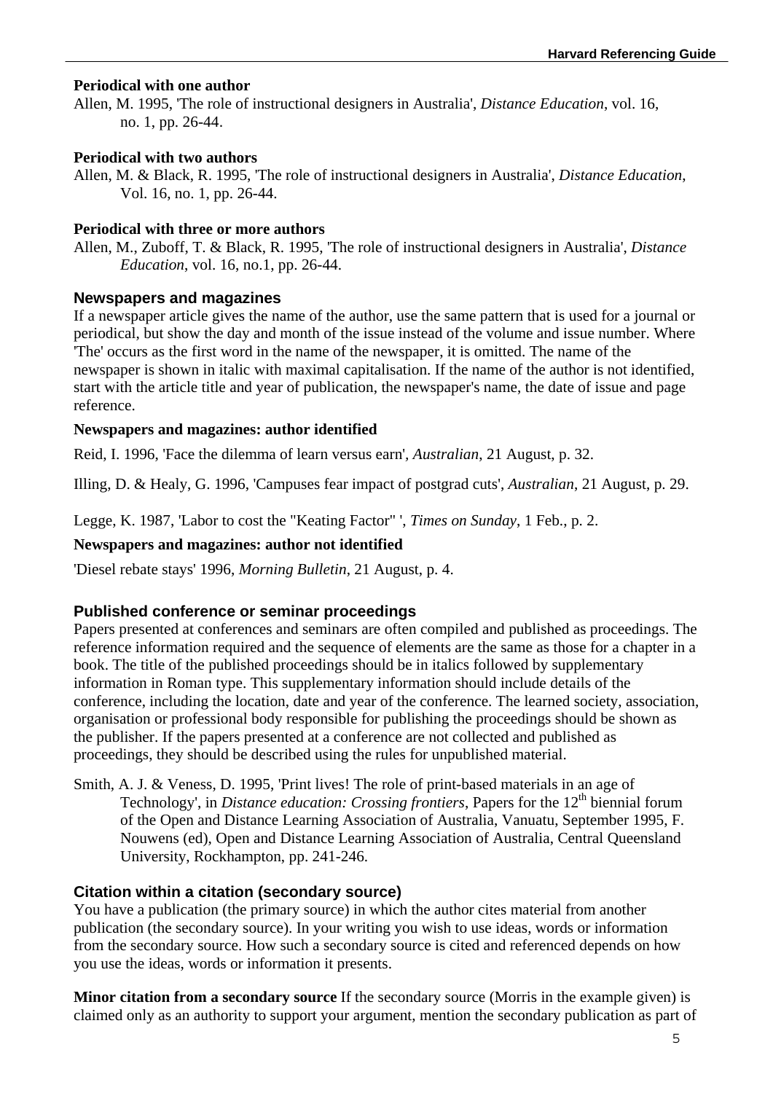### **Periodical with one author**

Allen, M. 1995, 'The role of instructional designers in Australia', *Distance Education*, vol. 16, no. 1, pp. 26-44.

#### **Periodical with two authors**

Allen, M. & Black, R. 1995, 'The role of instructional designers in Australia', *Distance Education*, Vol. 16, no. 1, pp. 26-44.

#### **Periodical with three or more authors**

Allen, M., Zuboff, T. & Black, R. 1995, 'The role of instructional designers in Australia', *Distance Education*, vol. 16, no.1, pp. 26-44.

#### **Newspapers and magazines**

If a newspaper article gives the name of the author, use the same pattern that is used for a journal or periodical, but show the day and month of the issue instead of the volume and issue number. Where 'The' occurs as the first word in the name of the newspaper, it is omitted. The name of the newspaper is shown in italic with maximal capitalisation. If the name of the author is not identified, start with the article title and year of publication, the newspaper's name, the date of issue and page reference.

#### **Newspapers and magazines: author identified**

Reid, I. 1996, 'Face the dilemma of learn versus earn'*, Australian*, 21 August, p. 32.

Illing, D. & Healy, G. 1996, 'Campuses fear impact of postgrad cuts', *Australian*, 21 August, p. 29.

Legge, K. 1987, 'Labor to cost the "Keating Factor" ', *Times on Sunday*, 1 Feb., p. 2.

#### **Newspapers and magazines: author not identified**

'Diesel rebate stays' 1996, *Morning Bulletin*, 21 August, p. 4.

### **Published conference or seminar proceedings**

Papers presented at conferences and seminars are often compiled and published as proceedings. The reference information required and the sequence of elements are the same as those for a chapter in a book. The title of the published proceedings should be in italics followed by supplementary information in Roman type. This supplementary information should include details of the conference, including the location, date and year of the conference. The learned society, association, organisation or professional body responsible for publishing the proceedings should be shown as the publisher. If the papers presented at a conference are not collected and published as proceedings, they should be described using the rules for unpublished material.

Smith, A. J. & Veness, D. 1995, 'Print lives! The role of print-based materials in an age of Technology', in *Distance education: Crossing frontiers*, Papers for the 12<sup>th</sup> biennial forum of the Open and Distance Learning Association of Australia, Vanuatu, September 1995, F. Nouwens (ed), Open and Distance Learning Association of Australia, Central Queensland University, Rockhampton, pp. 241-246.

### **Citation within a citation (secondary source)**

You have a publication (the primary source) in which the author cites material from another publication (the secondary source). In your writing you wish to use ideas, words or information from the secondary source. How such a secondary source is cited and referenced depends on how you use the ideas, words or information it presents.

**Minor citation from a secondary source** If the secondary source (Morris in the example given) is claimed only as an authority to support your argument, mention the secondary publication as part of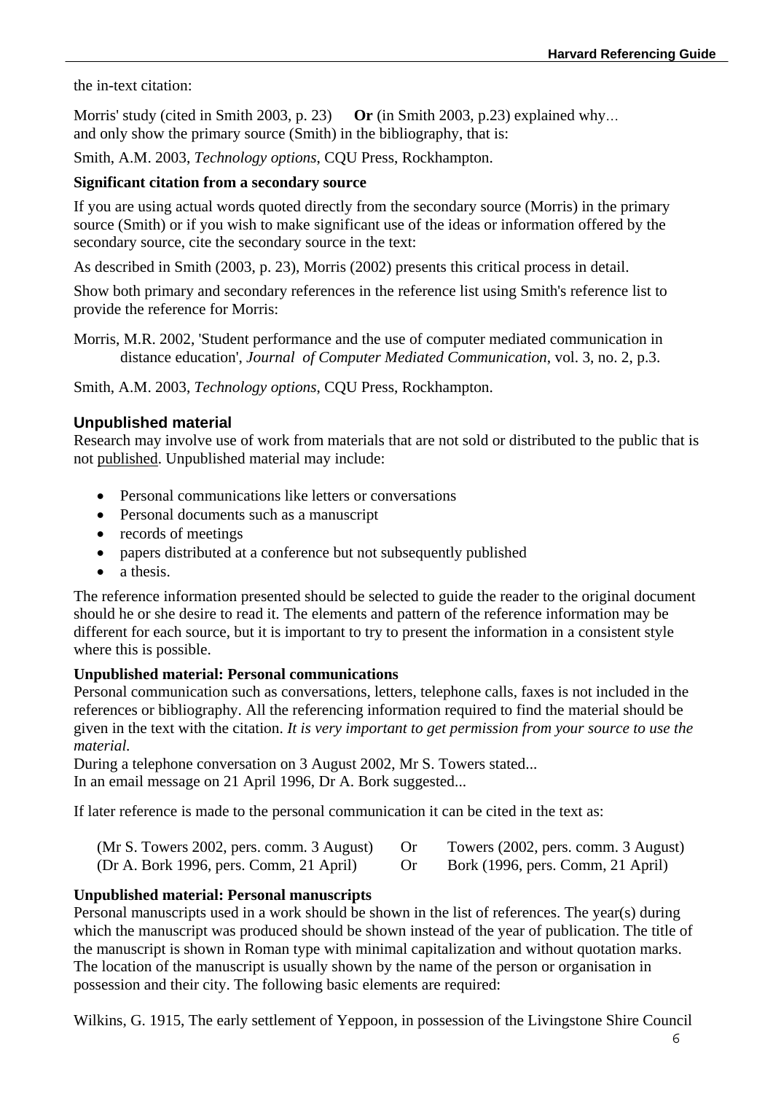the in-text citation:

Morris' study (cited in Smith 2003, p. 23) **Or** (in Smith 2003, p.23) explained why… and only show the primary source (Smith) in the bibliography, that is:

Smith, A.M. 2003, *Technology options*, CQU Press, Rockhampton.

### **Significant citation from a secondary source**

If you are using actual words quoted directly from the secondary source (Morris) in the primary source (Smith) or if you wish to make significant use of the ideas or information offered by the secondary source, cite the secondary source in the text:

As described in Smith (2003, p. 23), Morris (2002) presents this critical process in detail.

Show both primary and secondary references in the reference list using Smith's reference list to provide the reference for Morris:

Morris, M.R. 2002, 'Student performance and the use of computer mediated communication in distance education', *Journal of Computer Mediated Communication*, vol. 3, no. 2, p.3.

Smith, A.M. 2003, *Technology options*, CQU Press, Rockhampton.

### **Unpublished material**

Research may involve use of work from materials that are not sold or distributed to the public that is not published. Unpublished material may include:

- Personal communications like letters or conversations
- Personal documents such as a manuscript
- records of meetings
- papers distributed at a conference but not subsequently published
- a thesis.

The reference information presented should be selected to guide the reader to the original document should he or she desire to read it. The elements and pattern of the reference information may be different for each source, but it is important to try to present the information in a consistent style where this is possible.

### **Unpublished material: Personal communications**

Personal communication such as conversations, letters, telephone calls, faxes is not included in the references or bibliography. All the referencing information required to find the material should be given in the text with the citation. *It is very important to get permission from your source to use the material.*

During a telephone conversation on 3 August 2002, Mr S. Towers stated... In an email message on 21 April 1996, Dr A. Bork suggested...

If later reference is made to the personal communication it can be cited in the text as:

| $(Mr S. Towers 2002, pers. comm. 3 August)$ | Towers (2002, pers. comm. 3 August) |
|---------------------------------------------|-------------------------------------|
| (Dr A. Bork 1996, pers. Comm, 21 April)     | Bork (1996, pers. Comm, 21 April)   |

### **Unpublished material: Personal manuscripts**

Personal manuscripts used in a work should be shown in the list of references. The year(s) during which the manuscript was produced should be shown instead of the year of publication. The title of the manuscript is shown in Roman type with minimal capitalization and without quotation marks. The location of the manuscript is usually shown by the name of the person or organisation in possession and their city. The following basic elements are required:

Wilkins, G. 1915, The early settlement of Yeppoon, in possession of the Livingstone Shire Council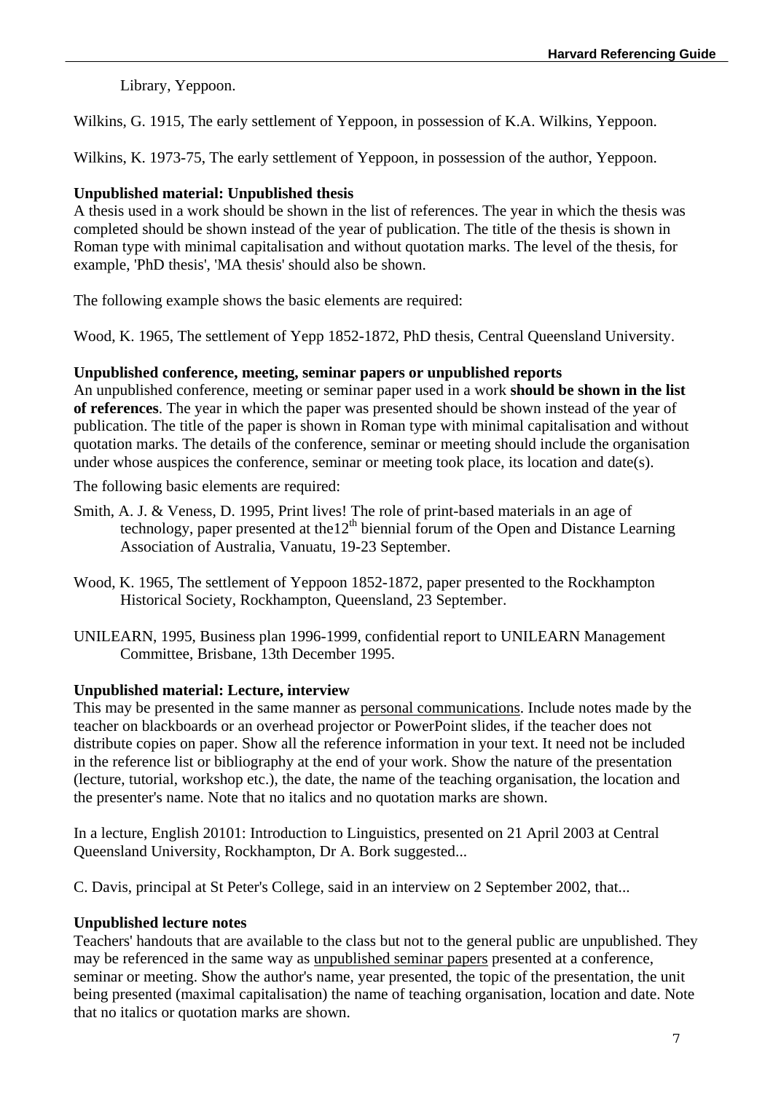Library, Yeppoon.

Wilkins, G. 1915, The early settlement of Yeppoon, in possession of K.A. Wilkins, Yeppoon.

Wilkins, K. 1973-75, The early settlement of Yeppoon, in possession of the author, Yeppoon.

## **Unpublished material: Unpublished thesis**

A thesis used in a work should be shown in the list of references. The year in which the thesis was completed should be shown instead of the year of publication. The title of the thesis is shown in Roman type with minimal capitalisation and without quotation marks. The level of the thesis, for example, 'PhD thesis', 'MA thesis' should also be shown.

The following example shows the basic elements are required:

Wood, K. 1965, The settlement of Yepp 1852-1872, PhD thesis, Central Queensland University.

### **Unpublished conference, meeting, seminar papers or unpublished reports**

An unpublished conference, meeting or seminar paper used in a work **should be shown in the list of references**. The year in which the paper was presented should be shown instead of the year of publication. The title of the paper is shown in Roman type with minimal capitalisation and without quotation marks. The details of the conference, seminar or meeting should include the organisation under whose auspices the conference, seminar or meeting took place, its location and date(s).

The following basic elements are required:

- Smith, A. J. & Veness, D. 1995, Print lives! The role of print-based materials in an age of technology, paper presented at the  $12<sup>th</sup>$  biennial forum of the Open and Distance Learning Association of Australia, Vanuatu, 19-23 September.
- Wood, K. 1965, The settlement of Yeppoon 1852-1872, paper presented to the Rockhampton Historical Society, Rockhampton, Queensland, 23 September.
- UNILEARN, 1995, Business plan 1996-1999, confidential report to UNILEARN Management Committee, Brisbane, 13th December 1995.

### **Unpublished material: Lecture, interview**

This may be presented in the same manner as personal communications. Include notes made by the teacher on blackboards or an overhead projector or PowerPoint slides, if the teacher does not distribute copies on paper. Show all the reference information in your text. It need not be included in the reference list or bibliography at the end of your work. Show the nature of the presentation (lecture, tutorial, workshop etc.), the date, the name of the teaching organisation, the location and the presenter's name. Note that no italics and no quotation marks are shown.

In a lecture, English 20101: Introduction to Linguistics, presented on 21 April 2003 at Central Queensland University, Rockhampton, Dr A. Bork suggested...

C. Davis, principal at St Peter's College, said in an interview on 2 September 2002, that...

### **Unpublished lecture notes**

Teachers' handouts that are available to the class but not to the general public are unpublished. They may be referenced in the same way as unpublished seminar papers presented at a conference, seminar or meeting. Show the author's name, year presented, the topic of the presentation, the unit being presented (maximal capitalisation) the name of teaching organisation, location and date. Note that no italics or quotation marks are shown.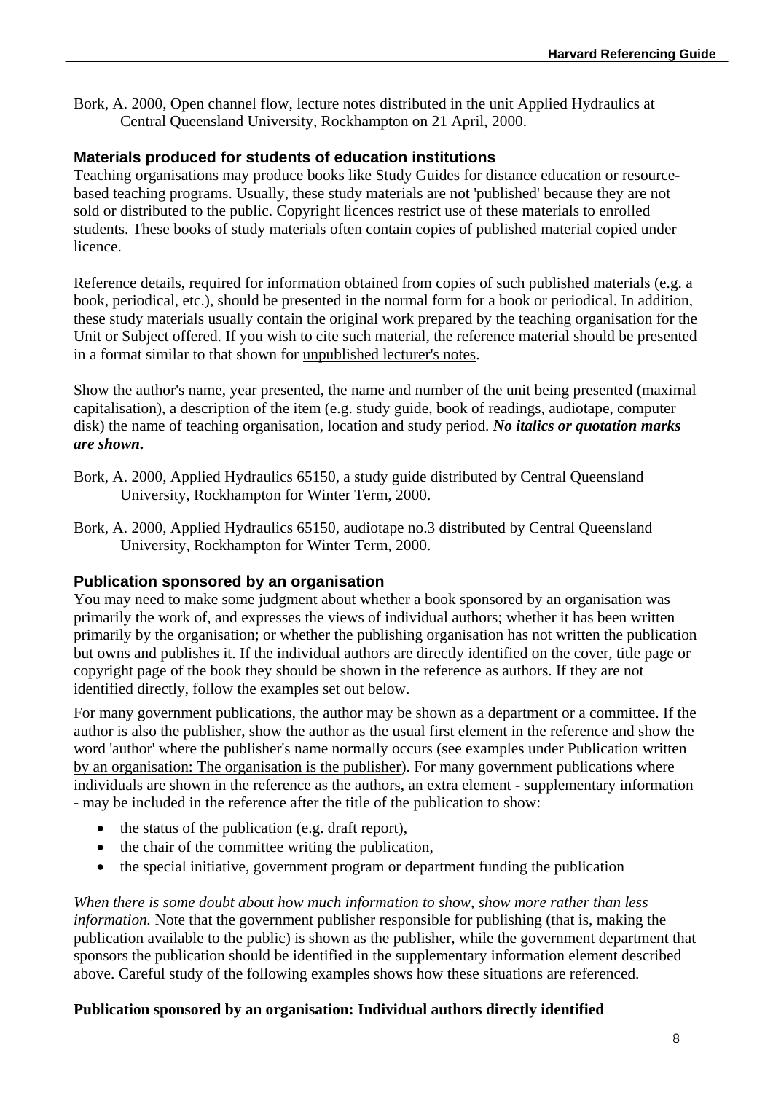Bork, A. 2000, Open channel flow, lecture notes distributed in the unit Applied Hydraulics at Central Queensland University, Rockhampton on 21 April, 2000.

## **Materials produced for students of education institutions**

Teaching organisations may produce books like Study Guides for distance education or resourcebased teaching programs. Usually, these study materials are not 'published' because they are not sold or distributed to the public. Copyright licences restrict use of these materials to enrolled students. These books of study materials often contain copies of published material copied under licence.

Reference details, required for information obtained from copies of such published materials (e.g. a book, periodical, etc.), should be presented in the normal form for a book or periodical. In addition, these study materials usually contain the original work prepared by the teaching organisation for the Unit or Subject offered. If you wish to cite such material, the reference material should be presented in a format similar to that shown for unpublished lecturer's notes.

Show the author's name, year presented, the name and number of the unit being presented (maximal capitalisation), a description of the item (e.g. study guide, book of readings, audiotape, computer disk) the name of teaching organisation, location and study period. *No italics or quotation marks are shown***.** 

- Bork, A. 2000, Applied Hydraulics 65150, a study guide distributed by Central Queensland University, Rockhampton for Winter Term, 2000.
- Bork, A. 2000, Applied Hydraulics 65150, audiotape no.3 distributed by Central Queensland University, Rockhampton for Winter Term, 2000.

# **Publication sponsored by an organisation**

You may need to make some judgment about whether a book sponsored by an organisation was primarily the work of, and expresses the views of individual authors; whether it has been written primarily by the organisation; or whether the publishing organisation has not written the publication but owns and publishes it. If the individual authors are directly identified on the cover, title page or copyright page of the book they should be shown in the reference as authors. If they are not identified directly, follow the examples set out below.

For many government publications, the author may be shown as a department or a committee. If the author is also the publisher, show the author as the usual first element in the reference and show the word 'author' where the publisher's name normally occurs (see examples under Publication written by an organisation: The organisation is the publisher). For many government publications where individuals are shown in the reference as the authors, an extra element - supplementary information - may be included in the reference after the title of the publication to show:

- $\bullet$  the status of the publication (e.g. draft report),
- $\bullet$  the chair of the committee writing the publication,
- the special initiative, government program or department funding the publication

*When there is some doubt about how much information to show, show more rather than less information.* Note that the government publisher responsible for publishing (that is, making the publication available to the public) is shown as the publisher, while the government department that sponsors the publication should be identified in the supplementary information element described above. Careful study of the following examples shows how these situations are referenced.

### **Publication sponsored by an organisation: Individual authors directly identified**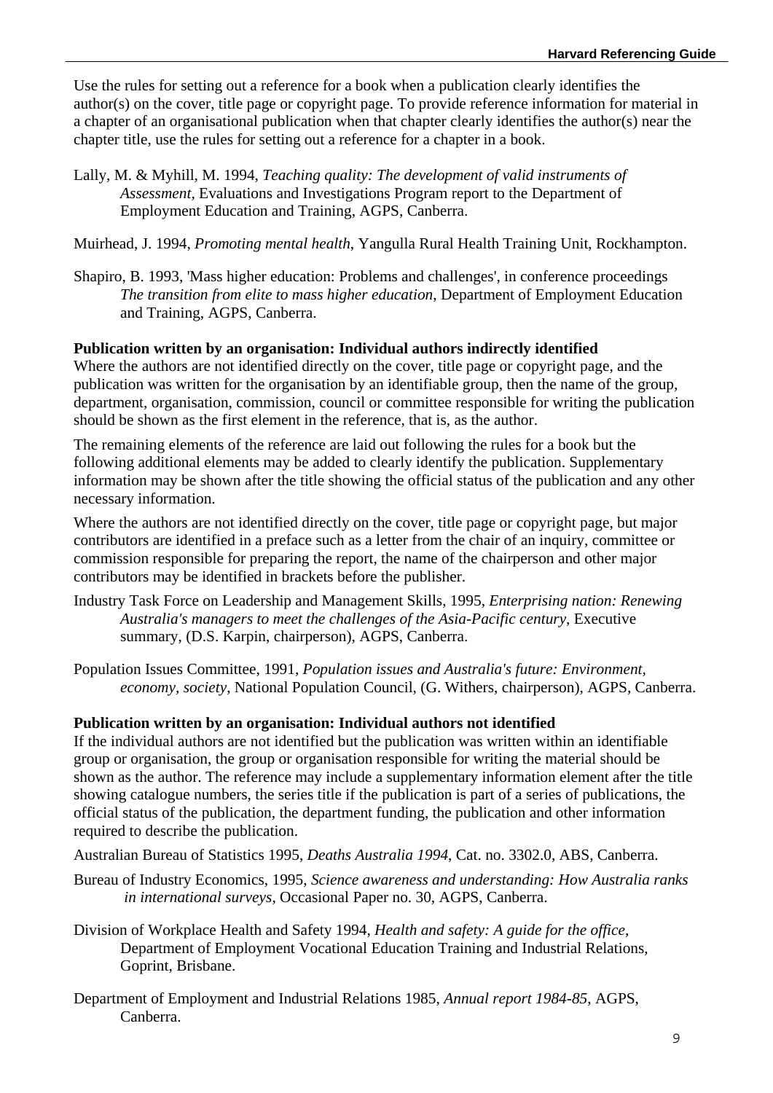Use the rules for setting out a reference for a book when a publication clearly identifies the author(s) on the cover, title page or copyright page. To provide reference information for material in a chapter of an organisational publication when that chapter clearly identifies the author(s) near the chapter title, use the rules for setting out a reference for a chapter in a book.

- Lally, M. & Myhill, M. 1994, *Teaching quality: The development of valid instruments of Assessment,* Evaluations and Investigations Program report to the Department of Employment Education and Training, AGPS, Canberra.
- Muirhead, J. 1994, *Promoting mental health*, Yangulla Rural Health Training Unit, Rockhampton.
- Shapiro, B. 1993, 'Mass higher education: Problems and challenges', in conference proceedings *The transition from elite to mass higher education*, Department of Employment Education and Training, AGPS, Canberra.

#### **Publication written by an organisation: Individual authors indirectly identified**

Where the authors are not identified directly on the cover, title page or copyright page, and the publication was written for the organisation by an identifiable group, then the name of the group, department, organisation, commission, council or committee responsible for writing the publication should be shown as the first element in the reference, that is, as the author.

The remaining elements of the reference are laid out following the rules for a book but the following additional elements may be added to clearly identify the publication. Supplementary information may be shown after the title showing the official status of the publication and any other necessary information.

Where the authors are not identified directly on the cover, title page or copyright page, but major contributors are identified in a preface such as a letter from the chair of an inquiry, committee or commission responsible for preparing the report, the name of the chairperson and other major contributors may be identified in brackets before the publisher.

- Industry Task Force on Leadership and Management Skills, 1995, *Enterprising nation: Renewing Australia's managers to meet the challenges of the Asia-Pacific century*, Executive summary, (D.S. Karpin, chairperson), AGPS, Canberra.
- Population Issues Committee, 1991, *Population issues and Australia's future: Environment, economy, society*, National Population Council, (G. Withers, chairperson), AGPS, Canberra.

#### **Publication written by an organisation: Individual authors not identified**

If the individual authors are not identified but the publication was written within an identifiable group or organisation, the group or organisation responsible for writing the material should be shown as the author. The reference may include a supplementary information element after the title showing catalogue numbers, the series title if the publication is part of a series of publications, the official status of the publication, the department funding, the publication and other information required to describe the publication.

Australian Bureau of Statistics 1995, *Deaths Australia 1994*, Cat. no. 3302.0, ABS, Canberra.

- Bureau of Industry Economics, 1995, *Science awareness and understanding: How Australia ranks in international surveys,* Occasional Paper no. 30, AGPS, Canberra.
- Division of Workplace Health and Safety 1994, *Health and safety: A guide for the office*, Department of Employment Vocational Education Training and Industrial Relations, Goprint, Brisbane.
- Department of Employment and Industrial Relations 1985, *Annual report 1984-85*, AGPS, Canberra.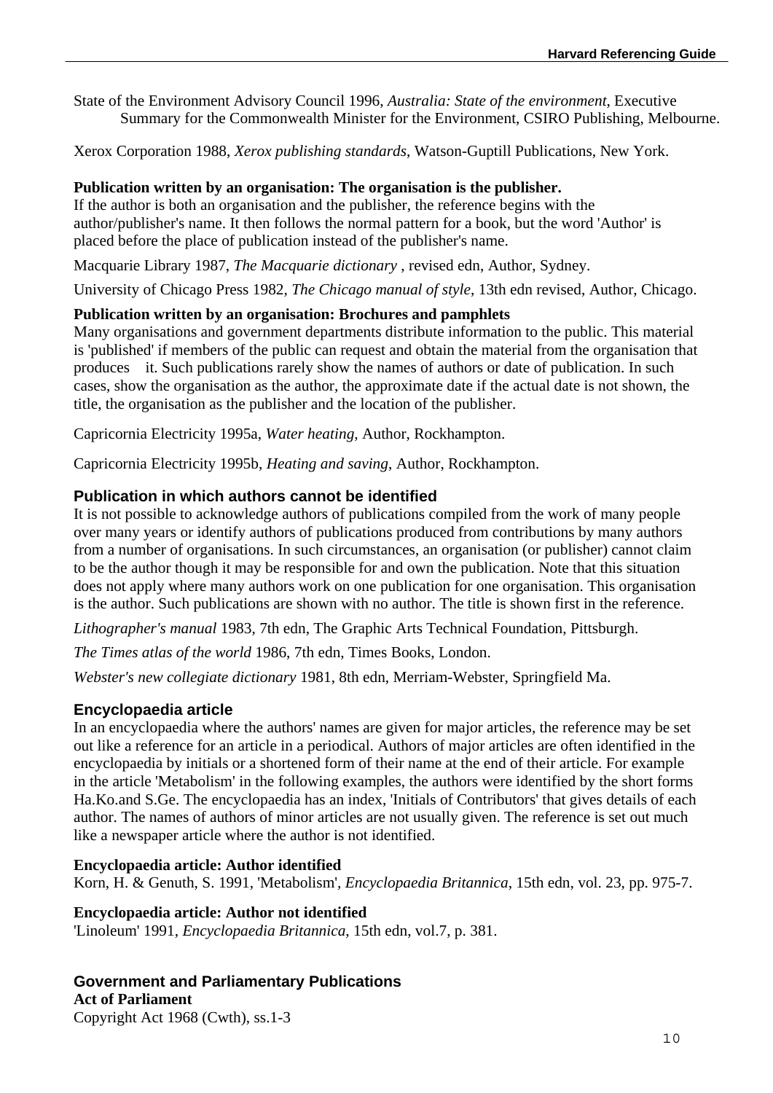State of the Environment Advisory Council 1996, *Australia: State of the environment*, Executive Summary for the Commonwealth Minister for the Environment, CSIRO Publishing, Melbourne.

Xerox Corporation 1988, *Xerox publishing standards*, Watson-Guptill Publications, New York.

### **Publication written by an organisation: The organisation is the publisher.**

If the author is both an organisation and the publisher, the reference begins with the author/publisher's name. It then follows the normal pattern for a book, but the word 'Author' is placed before the place of publication instead of the publisher's name.

Macquarie Library 1987, *The Macquarie dictionary* , revised edn, Author, Sydney.

University of Chicago Press 1982, *The Chicago manual of style*, 13th edn revised, Author, Chicago.

### **Publication written by an organisation: Brochures and pamphlets**

Many organisations and government departments distribute information to the public. This material is 'published' if members of the public can request and obtain the material from the organisation that produces it. Such publications rarely show the names of authors or date of publication. In such cases, show the organisation as the author, the approximate date if the actual date is not shown, the title, the organisation as the publisher and the location of the publisher.

Capricornia Electricity 1995a, *Water heating*, Author, Rockhampton.

Capricornia Electricity 1995b, *Heating and saving*, Author, Rockhampton.

### **Publication in which authors cannot be identified**

It is not possible to acknowledge authors of publications compiled from the work of many people over many years or identify authors of publications produced from contributions by many authors from a number of organisations. In such circumstances, an organisation (or publisher) cannot claim to be the author though it may be responsible for and own the publication. Note that this situation does not apply where many authors work on one publication for one organisation. This organisation is the author. Such publications are shown with no author. The title is shown first in the reference.

*Lithographer's manual* 1983, 7th edn, The Graphic Arts Technical Foundation, Pittsburgh.

*The Times atlas of the world* 1986, 7th edn, Times Books, London.

*Webster's new collegiate dictionary* 1981, 8th edn, Merriam-Webster, Springfield Ma.

### **Encyclopaedia article**

In an encyclopaedia where the authors' names are given for major articles, the reference may be set out like a reference for an article in a periodical. Authors of major articles are often identified in the encyclopaedia by initials or a shortened form of their name at the end of their article. For example in the article 'Metabolism' in the following examples, the authors were identified by the short forms Ha.Ko.and S.Ge. The encyclopaedia has an index, 'Initials of Contributors' that gives details of each author. The names of authors of minor articles are not usually given. The reference is set out much like a newspaper article where the author is not identified.

#### **Encyclopaedia article: Author identified**

Korn, H. & Genuth, S. 1991, 'Metabolism'*, Encyclopaedia Britannica*, 15th edn, vol. 23, pp. 975-7.

#### **Encyclopaedia article: Author not identified**

'Linoleum' 1991, *Encyclopaedia Britannica*, 15th edn, vol.7, p. 381.

## **Government and Parliamentary Publications**

**Act of Parliament** 

Copyright Act 1968 (Cwth), ss.1-3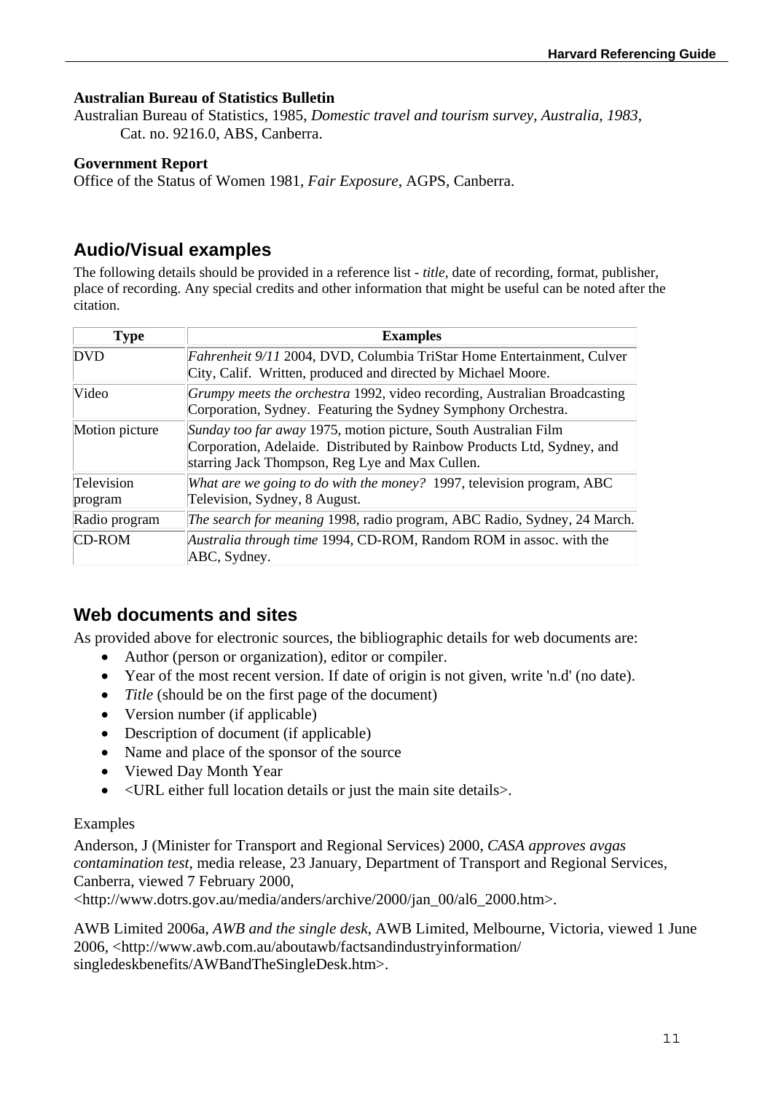## **Australian Bureau of Statistics Bulletin**

Australian Bureau of Statistics, 1985, *Domestic travel and tourism survey, Australia, 1983*, Cat. no. 9216.0, ABS, Canberra.

#### **Government Report**

Office of the Status of Women 1981, *Fair Exposure*, AGPS, Canberra.

# **Audio/Visual examples**

The following details should be provided in a reference list - *title*, date of recording, format, publisher, place of recording. Any special credits and other information that might be useful can be noted after the citation.

| <b>Type</b>           | <b>Examples</b>                                                                                                                                                                               |
|-----------------------|-----------------------------------------------------------------------------------------------------------------------------------------------------------------------------------------------|
| <b>DVD</b>            | Fahrenheit 9/11 2004, DVD, Columbia TriStar Home Entertainment, Culver<br>City, Calif. Written, produced and directed by Michael Moore.                                                       |
| Video                 | Grumpy meets the orchestra 1992, video recording, Australian Broadcasting<br>Corporation, Sydney. Featuring the Sydney Symphony Orchestra.                                                    |
| Motion picture        | Sunday too far away 1975, motion picture, South Australian Film<br>Corporation, Adelaide. Distributed by Rainbow Products Ltd, Sydney, and<br>starring Jack Thompson, Reg Lye and Max Cullen. |
| Television<br>program | What are we going to do with the money? 1997, television program, ABC<br>Television, Sydney, 8 August.                                                                                        |
| Radio program         | The search for meaning 1998, radio program, ABC Radio, Sydney, 24 March.                                                                                                                      |
| <b>CD-ROM</b>         | Australia through time 1994, CD-ROM, Random ROM in assoc. with the<br>ABC, Sydney.                                                                                                            |

# **Web documents and sites**

As provided above for electronic sources, the bibliographic details for web documents are:

- Author (person or organization), editor or compiler.
- Year of the most recent version. If date of origin is not given, write 'n.d' (no date).
- *Title* (should be on the first page of the document)
- Version number (if applicable)
- Description of document (if applicable)
- Name and place of the sponsor of the source
- Viewed Day Month Year
- <URL either full location details or just the main site details>.

#### Examples

Anderson, J (Minister for Transport and Regional Services) 2000, *CASA approves avgas contamination test*, media release, 23 January, Department of Transport and Regional Services, Canberra, viewed 7 February 2000,

<http://www.dotrs.gov.au/media/anders/archive/2000/jan\_00/al6\_2000.htm>.

AWB Limited 2006a, *AWB and the single desk*, AWB Limited, Melbourne, Victoria, viewed 1 June 2006, <http://www.awb.com.au/aboutawb/factsandindustryinformation/ singledeskbenefits/AWBandTheSingleDesk.htm>.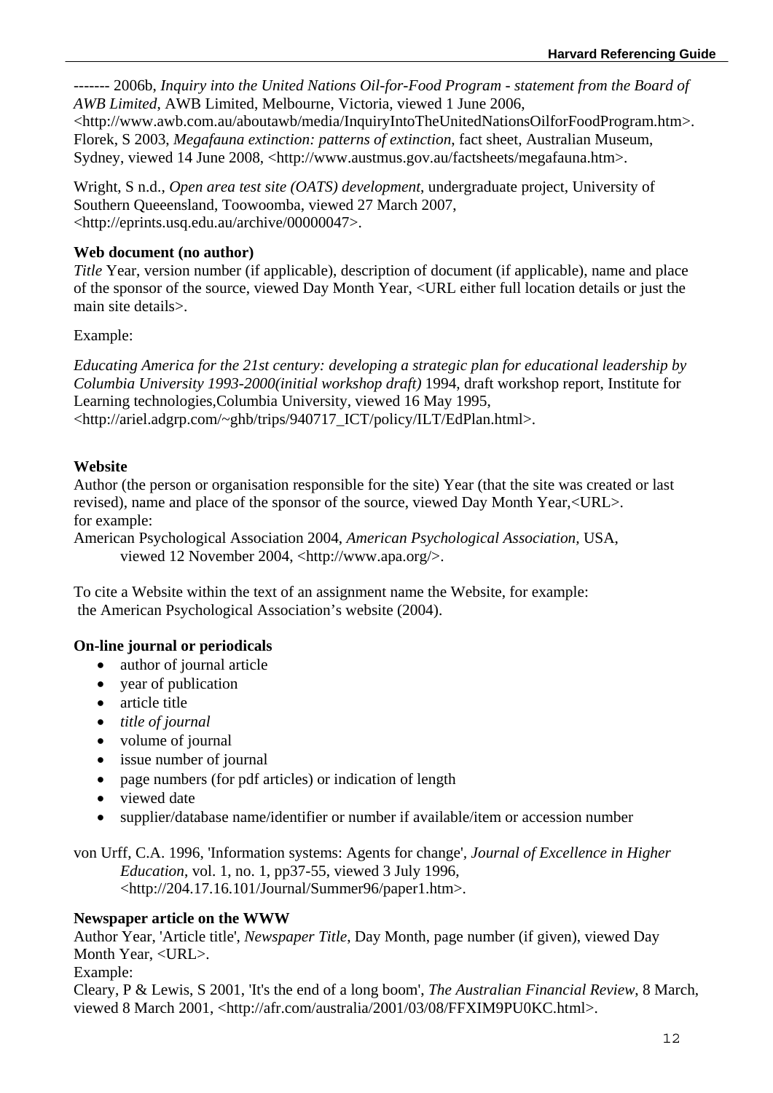------- 2006b, *Inquiry into the United Nations Oil-for-Food Program - statement from the Board of AWB Limited*, AWB Limited, Melbourne, Victoria, viewed 1 June 2006,

<http://www.awb.com.au/aboutawb/media/InquiryIntoTheUnitedNationsOilforFoodProgram.htm>. Florek, S 2003, *Megafauna extinction: patterns of extinction*, fact sheet, Australian Museum, Sydney, viewed 14 June 2008, <http://www.austmus.gov.au/factsheets/megafauna.htm>.

Wright, S n.d., *Open area test site (OATS) development*, undergraduate project, University of Southern Queeensland, Toowoomba, viewed 27 March 2007, <http://eprints.usq.edu.au/archive/00000047>.

## **Web document (no author)**

*Title* Year, version number (if applicable), description of document (if applicable), name and place of the sponsor of the source, viewed Day Month Year, <URL either full location details or just the main site details>.

Example:

*Educating America for the 21st century: developing a strategic plan for educational leadership by Columbia University 1993-2000(initial workshop draft)* 1994, draft workshop report, Institute for Learning technologies,Columbia University, viewed 16 May 1995, <http://ariel.adgrp.com/~ghb/trips/940717\_ICT/policy/ILT/EdPlan.html>.

# **Website**

Author (the person or organisation responsible for the site) Year (that the site was created or last revised), name and place of the sponsor of the source, viewed Day Month Year,<URL>. for example:

American Psychological Association 2004, *American Psychological Association,* USA, viewed 12 November 2004, <http://www.apa.org/>.

To cite a Website within the text of an assignment name the Website, for example: the American Psychological Association's website (2004).

# **On-line journal or periodicals**

- author of journal article
- year of publication
- article title
- *title of journal*
- volume of journal
- issue number of journal
- page numbers (for pdf articles) or indication of length
- viewed date
- supplier/database name/identifier or number if available/item or accession number

von Urff, C.A. 1996, 'Information systems: Agents for change'*, Journal of Excellence in Higher Education*, vol. 1, no. 1, pp37-55, viewed 3 July 1996, <http://204.17.16.101/Journal/Summer96/paper1.htm>.

### **Newspaper article on the WWW**

Author Year, 'Article title', *Newspaper Title*, Day Month, page number (if given), viewed Day Month Year, <URL>.

## Example:

Cleary, P & Lewis, S 2001, 'It's the end of a long boom', *The Australian Financial Review*, 8 March, viewed 8 March 2001, <http://afr.com/australia/2001/03/08/FFXIM9PU0KC.html>.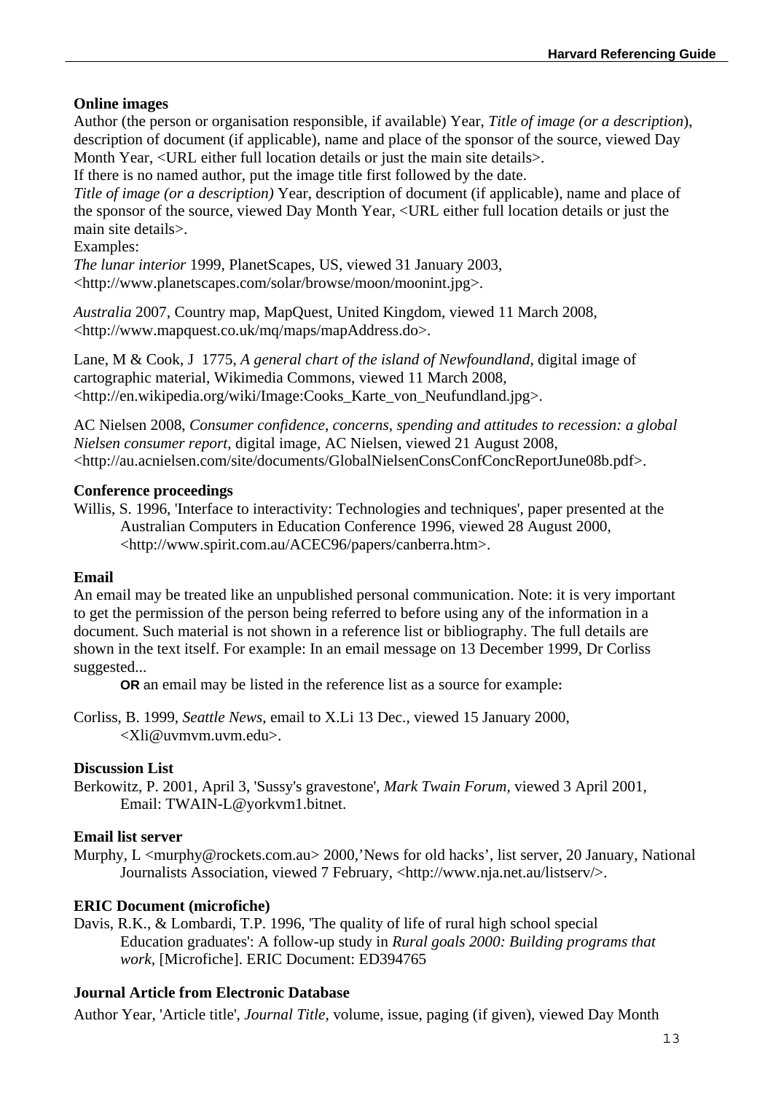## **Online images**

Author (the person or organisation responsible, if available) Year, *Title of image (or a description*), description of document (if applicable), name and place of the sponsor of the source, viewed Day Month Year, <URL either full location details or just the main site details>.

If there is no named author, put the image title first followed by the date.

*Title of image (or a description)* Year, description of document (if applicable), name and place of the sponsor of the source, viewed Day Month Year, <URL either full location details or just the main site details>.

Examples:

*The lunar interior* 1999, PlanetScapes, US, viewed 31 January 2003, <http://www.planetscapes.com/solar/browse/moon/moonint.jpg>.

*Australia* 2007, Country map, MapQuest, United Kingdom, viewed 11 March 2008, <http://www.mapquest.co.uk/mq/maps/mapAddress.do>.

Lane, M & Cook, J 1775, *A general chart of the island of Newfoundland,* digital image of cartographic material, Wikimedia Commons, viewed 11 March 2008, <http://en.wikipedia.org/wiki/Image:Cooks\_Karte\_von\_Neufundland.jpg>.

AC Nielsen 2008, *Consumer confidence, concerns, spending and attitudes to recession: a global Nielsen consumer report*, digital image, AC Nielsen, viewed 21 August 2008, <http://au.acnielsen.com/site/documents/GlobalNielsenConsConfConcReportJune08b.pdf>.

#### **Conference proceedings**

Willis, S. 1996, 'Interface to interactivity: Technologies and techniques', paper presented at the Australian Computers in Education Conference 1996, viewed 28 August 2000, <http://www.spirit.com.au/ACEC96/papers/canberra.htm>.

### **Email**

An email may be treated like an unpublished personal communication. Note: it is very important to get the permission of the person being referred to before using any of the information in a document. Such material is not shown in a reference list or bibliography. The full details are shown in the text itself. For example: In an email message on 13 December 1999, Dr Corliss suggested...

**OR** an email may be listed in the reference list as a source for example**:** 

Corliss, B. 1999, *Seattle News*, email to X.Li 13 Dec., viewed 15 January 2000, <Xli@uvmvm.uvm.edu>.

#### **Discussion List**

Berkowitz, P. 2001, April 3, 'Sussy's gravestone', *Mark Twain Forum,* viewed 3 April 2001*,*  Email: TWAIN-L@yorkvm1.bitnet.

### **Email list server**

Murphy, L <murphy@rockets.com.au> 2000,'News for old hacks', list server, 20 January, National Journalists Association, viewed 7 February, <http://www.nja.net.au/listserv/>.

### **ERIC Document (microfiche)**

Davis, R.K., & Lombardi, T.P. 1996, 'The quality of life of rural high school special Education graduates': A follow-up study in *Rural goals 2000: Building programs that work,* [Microfiche]. ERIC Document: ED394765

## **Journal Article from Electronic Database**

Author Year, 'Article title', *Journal Title*, volume, issue, paging (if given), viewed Day Month